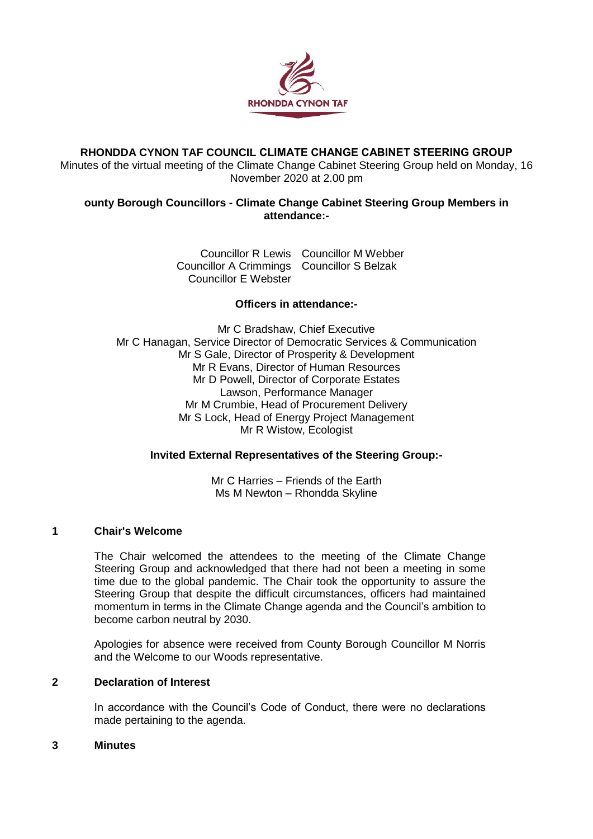

# **RHONDDA CYNON TAF COUNCIL CLIMATE CHANGE CABINET STEERING GROUP**

Minutes of the virtual meeting of the Climate Change Cabinet Steering Group held on Monday, 16 November 2020 at 2.00 pm

## **ounty Borough Councillors - Climate Change Cabinet Steering Group Members in attendance:-**

Councillor R Lewis Councillor M Webber Councillor A Crimmings Councillor S Belzak Councillor E Webster

# **Officers in attendance:-**

Mr C Bradshaw, Chief Executive Mr C Hanagan, Service Director of Democratic Services & Communication Mr S Gale, Director of Prosperity & Development Mr R Evans, Director of Human Resources Mr D Powell, Director of Corporate Estates Lawson, Performance Manager Mr M Crumbie, Head of Procurement Delivery Mr S Lock, Head of Energy Project Management Mr R Wistow, Ecologist

## **Invited External Representatives of the Steering Group:-**

Mr C Harries – Friends of the Earth Ms M Newton – Rhondda Skyline

## **1 Chair's Welcome**

The Chair welcomed the attendees to the meeting of the Climate Change Steering Group and acknowledged that there had not been a meeting in some time due to the global pandemic. The Chair took the opportunity to assure the Steering Group that despite the difficult circumstances, officers had maintained momentum in terms in the Climate Change agenda and the Council's ambition to become carbon neutral by 2030.

Apologies for absence were received from County Borough Councillor M Norris and the Welcome to our Woods representative.

## **2 Declaration of Interest**

In accordance with the Council's Code of Conduct, there were no declarations made pertaining to the agenda.

### **3 Minutes**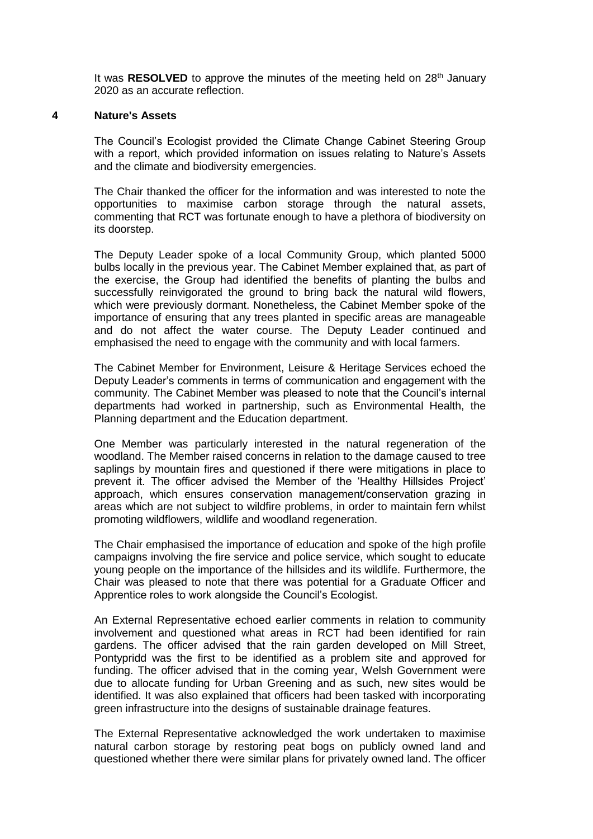It was **RESOLVED** to approve the minutes of the meeting held on 28<sup>th</sup> January 2020 as an accurate reflection.

#### **4 Nature's Assets**

The Council's Ecologist provided the Climate Change Cabinet Steering Group with a report, which provided information on issues relating to Nature's Assets and the climate and biodiversity emergencies.

The Chair thanked the officer for the information and was interested to note the opportunities to maximise carbon storage through the natural assets, commenting that RCT was fortunate enough to have a plethora of biodiversity on its doorstep.

The Deputy Leader spoke of a local Community Group, which planted 5000 bulbs locally in the previous year. The Cabinet Member explained that, as part of the exercise, the Group had identified the benefits of planting the bulbs and successfully reinvigorated the ground to bring back the natural wild flowers, which were previously dormant. Nonetheless, the Cabinet Member spoke of the importance of ensuring that any trees planted in specific areas are manageable and do not affect the water course. The Deputy Leader continued and emphasised the need to engage with the community and with local farmers.

The Cabinet Member for Environment, Leisure & Heritage Services echoed the Deputy Leader's comments in terms of communication and engagement with the community. The Cabinet Member was pleased to note that the Council's internal departments had worked in partnership, such as Environmental Health, the Planning department and the Education department.

One Member was particularly interested in the natural regeneration of the woodland. The Member raised concerns in relation to the damage caused to tree saplings by mountain fires and questioned if there were mitigations in place to prevent it. The officer advised the Member of the 'Healthy Hillsides Project' approach, which ensures conservation management/conservation grazing in areas which are not subject to wildfire problems, in order to maintain fern whilst promoting wildflowers, wildlife and woodland regeneration.

The Chair emphasised the importance of education and spoke of the high profile campaigns involving the fire service and police service, which sought to educate young people on the importance of the hillsides and its wildlife. Furthermore, the Chair was pleased to note that there was potential for a Graduate Officer and Apprentice roles to work alongside the Council's Ecologist.

An External Representative echoed earlier comments in relation to community involvement and questioned what areas in RCT had been identified for rain gardens. The officer advised that the rain garden developed on Mill Street, Pontypridd was the first to be identified as a problem site and approved for funding. The officer advised that in the coming year, Welsh Government were due to allocate funding for Urban Greening and as such, new sites would be identified. It was also explained that officers had been tasked with incorporating green infrastructure into the designs of sustainable drainage features.

The External Representative acknowledged the work undertaken to maximise natural carbon storage by restoring peat bogs on publicly owned land and questioned whether there were similar plans for privately owned land. The officer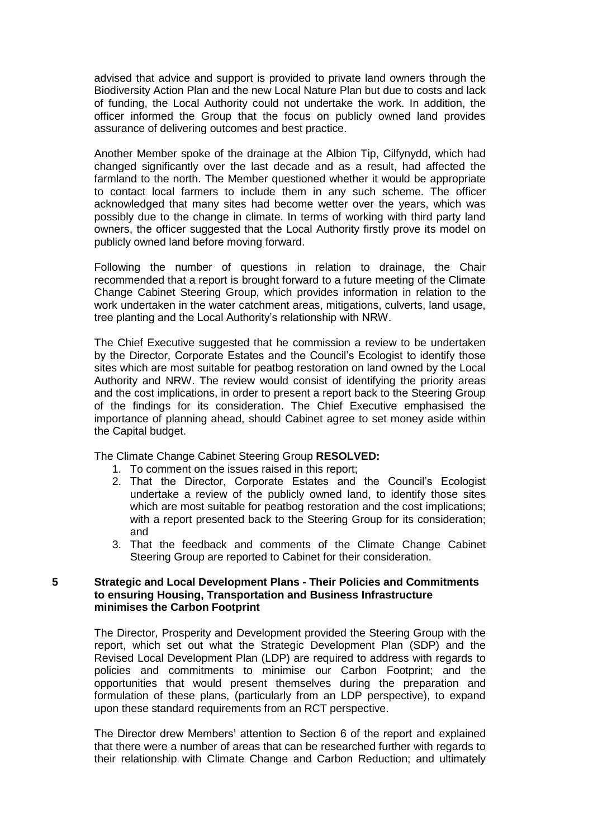advised that advice and support is provided to private land owners through the Biodiversity Action Plan and the new Local Nature Plan but due to costs and lack of funding, the Local Authority could not undertake the work. In addition, the officer informed the Group that the focus on publicly owned land provides assurance of delivering outcomes and best practice.

Another Member spoke of the drainage at the Albion Tip, Cilfynydd, which had changed significantly over the last decade and as a result, had affected the farmland to the north. The Member questioned whether it would be appropriate to contact local farmers to include them in any such scheme. The officer acknowledged that many sites had become wetter over the years, which was possibly due to the change in climate. In terms of working with third party land owners, the officer suggested that the Local Authority firstly prove its model on publicly owned land before moving forward.

Following the number of questions in relation to drainage, the Chair recommended that a report is brought forward to a future meeting of the Climate Change Cabinet Steering Group, which provides information in relation to the work undertaken in the water catchment areas, mitigations, culverts, land usage, tree planting and the Local Authority's relationship with NRW.

The Chief Executive suggested that he commission a review to be undertaken by the Director, Corporate Estates and the Council's Ecologist to identify those sites which are most suitable for peatbog restoration on land owned by the Local Authority and NRW. The review would consist of identifying the priority areas and the cost implications, in order to present a report back to the Steering Group of the findings for its consideration. The Chief Executive emphasised the importance of planning ahead, should Cabinet agree to set money aside within the Capital budget.

The Climate Change Cabinet Steering Group **RESOLVED:**

- 1. To comment on the issues raised in this report;
- 2. That the Director, Corporate Estates and the Council's Ecologist undertake a review of the publicly owned land, to identify those sites which are most suitable for peatbog restoration and the cost implications; with a report presented back to the Steering Group for its consideration; and
- 3. That the feedback and comments of the Climate Change Cabinet Steering Group are reported to Cabinet for their consideration.

#### **5 Strategic and Local Development Plans - Their Policies and Commitments to ensuring Housing, Transportation and Business Infrastructure minimises the Carbon Footprint**

The Director, Prosperity and Development provided the Steering Group with the report, which set out what the Strategic Development Plan (SDP) and the Revised Local Development Plan (LDP) are required to address with regards to policies and commitments to minimise our Carbon Footprint; and the opportunities that would present themselves during the preparation and formulation of these plans, (particularly from an LDP perspective), to expand upon these standard requirements from an RCT perspective.

The Director drew Members' attention to Section 6 of the report and explained that there were a number of areas that can be researched further with regards to their relationship with Climate Change and Carbon Reduction; and ultimately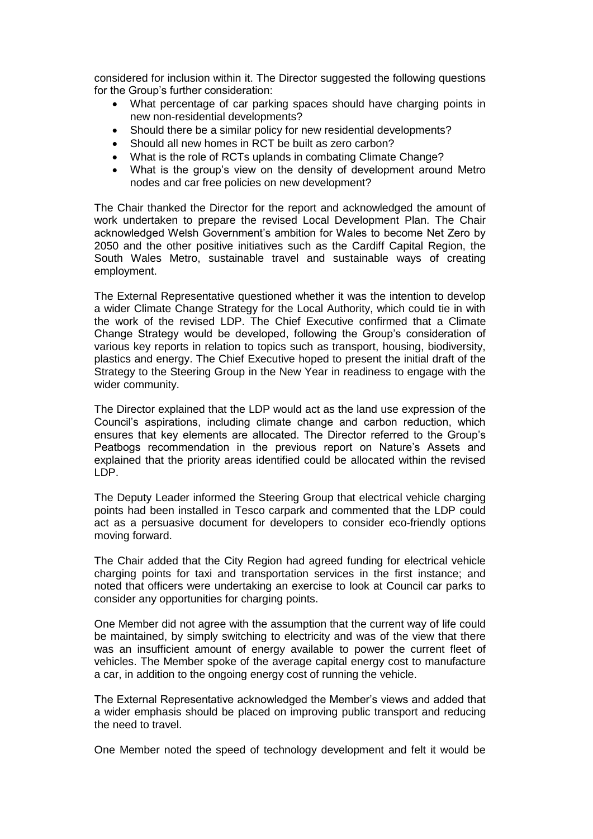considered for inclusion within it. The Director suggested the following questions for the Group's further consideration:

- What percentage of car parking spaces should have charging points in new non-residential developments?
- Should there be a similar policy for new residential developments?
- Should all new homes in RCT be built as zero carbon?
- What is the role of RCTs uplands in combating Climate Change?
- What is the group's view on the density of development around Metro nodes and car free policies on new development?

The Chair thanked the Director for the report and acknowledged the amount of work undertaken to prepare the revised Local Development Plan. The Chair acknowledged Welsh Government's ambition for Wales to become Net Zero by 2050 and the other positive initiatives such as the Cardiff Capital Region, the South Wales Metro, sustainable travel and sustainable ways of creating employment.

The External Representative questioned whether it was the intention to develop a wider Climate Change Strategy for the Local Authority, which could tie in with the work of the revised LDP. The Chief Executive confirmed that a Climate Change Strategy would be developed, following the Group's consideration of various key reports in relation to topics such as transport, housing, biodiversity, plastics and energy. The Chief Executive hoped to present the initial draft of the Strategy to the Steering Group in the New Year in readiness to engage with the wider community.

The Director explained that the LDP would act as the land use expression of the Council's aspirations, including climate change and carbon reduction, which ensures that key elements are allocated. The Director referred to the Group's Peatbogs recommendation in the previous report on Nature's Assets and explained that the priority areas identified could be allocated within the revised LDP.

The Deputy Leader informed the Steering Group that electrical vehicle charging points had been installed in Tesco carpark and commented that the LDP could act as a persuasive document for developers to consider eco-friendly options moving forward.

The Chair added that the City Region had agreed funding for electrical vehicle charging points for taxi and transportation services in the first instance; and noted that officers were undertaking an exercise to look at Council car parks to consider any opportunities for charging points.

One Member did not agree with the assumption that the current way of life could be maintained, by simply switching to electricity and was of the view that there was an insufficient amount of energy available to power the current fleet of vehicles. The Member spoke of the average capital energy cost to manufacture a car, in addition to the ongoing energy cost of running the vehicle.

The External Representative acknowledged the Member's views and added that a wider emphasis should be placed on improving public transport and reducing the need to travel.

One Member noted the speed of technology development and felt it would be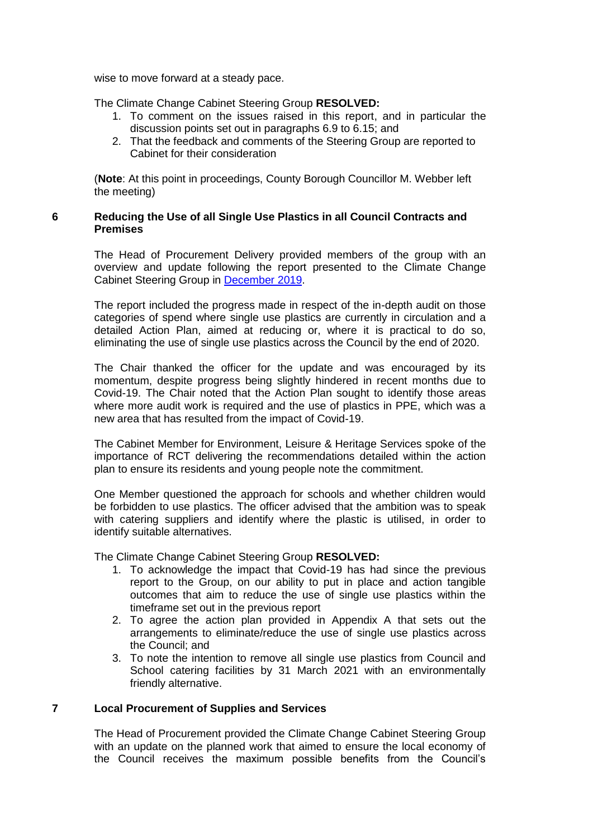wise to move forward at a steady pace.

The Climate Change Cabinet Steering Group **RESOLVED:**

- 1. To comment on the issues raised in this report, and in particular the discussion points set out in paragraphs 6.9 to 6.15; and
- 2. That the feedback and comments of the Steering Group are reported to Cabinet for their consideration

(**Note**: At this point in proceedings, County Borough Councillor M. Webber left the meeting)

### **6 Reducing the Use of all Single Use Plastics in all Council Contracts and Premises**

The Head of Procurement Delivery provided members of the group with an overview and update following the report presented to the Climate Change Cabinet Steering Group in [December 2019.](https://www.rctcbc.gov.uk/EN/Council/CouncillorsCommitteesandMeetings/Meetings/ClimateChangeCabinetSteeringGroup/2019/12/18/Reports/Item6EliminationofSingleUsePlasticsinallCouncilcontractsandpremises.pdf)

The report included the progress made in respect of the in-depth audit on those categories of spend where single use plastics are currently in circulation and a detailed Action Plan, aimed at reducing or, where it is practical to do so, eliminating the use of single use plastics across the Council by the end of 2020.

The Chair thanked the officer for the update and was encouraged by its momentum, despite progress being slightly hindered in recent months due to Covid-19. The Chair noted that the Action Plan sought to identify those areas where more audit work is required and the use of plastics in PPE, which was a new area that has resulted from the impact of Covid-19.

The Cabinet Member for Environment, Leisure & Heritage Services spoke of the importance of RCT delivering the recommendations detailed within the action plan to ensure its residents and young people note the commitment.

One Member questioned the approach for schools and whether children would be forbidden to use plastics. The officer advised that the ambition was to speak with catering suppliers and identify where the plastic is utilised, in order to identify suitable alternatives.

The Climate Change Cabinet Steering Group **RESOLVED:**

- 1. To acknowledge the impact that Covid-19 has had since the previous report to the Group, on our ability to put in place and action tangible outcomes that aim to reduce the use of single use plastics within the timeframe set out in the previous report
- 2. To agree the action plan provided in Appendix A that sets out the arrangements to eliminate/reduce the use of single use plastics across the Council; and
- 3. To note the intention to remove all single use plastics from Council and School catering facilities by 31 March 2021 with an environmentally friendly alternative.

## **7 Local Procurement of Supplies and Services**

The Head of Procurement provided the Climate Change Cabinet Steering Group with an update on the planned work that aimed to ensure the local economy of the Council receives the maximum possible benefits from the Council's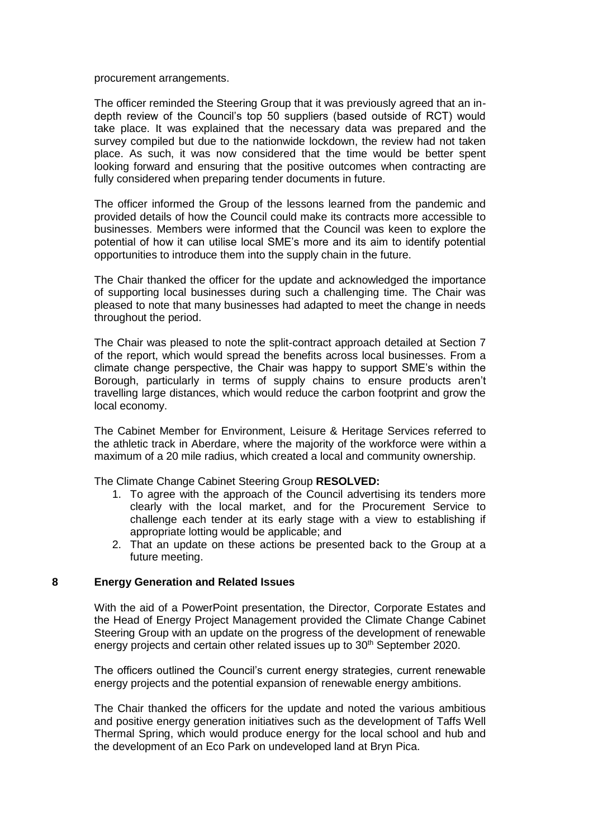procurement arrangements.

The officer reminded the Steering Group that it was previously agreed that an indepth review of the Council's top 50 suppliers (based outside of RCT) would take place. It was explained that the necessary data was prepared and the survey compiled but due to the nationwide lockdown, the review had not taken place. As such, it was now considered that the time would be better spent looking forward and ensuring that the positive outcomes when contracting are fully considered when preparing tender documents in future.

The officer informed the Group of the lessons learned from the pandemic and provided details of how the Council could make its contracts more accessible to businesses. Members were informed that the Council was keen to explore the potential of how it can utilise local SME's more and its aim to identify potential opportunities to introduce them into the supply chain in the future.

The Chair thanked the officer for the update and acknowledged the importance of supporting local businesses during such a challenging time. The Chair was pleased to note that many businesses had adapted to meet the change in needs throughout the period.

The Chair was pleased to note the split-contract approach detailed at Section 7 of the report, which would spread the benefits across local businesses. From a climate change perspective, the Chair was happy to support SME's within the Borough, particularly in terms of supply chains to ensure products aren't travelling large distances, which would reduce the carbon footprint and grow the local economy.

The Cabinet Member for Environment, Leisure & Heritage Services referred to the athletic track in Aberdare, where the majority of the workforce were within a maximum of a 20 mile radius, which created a local and community ownership.

The Climate Change Cabinet Steering Group **RESOLVED:**

- 1. To agree with the approach of the Council advertising its tenders more clearly with the local market, and for the Procurement Service to challenge each tender at its early stage with a view to establishing if appropriate lotting would be applicable; and
- 2. That an update on these actions be presented back to the Group at a future meeting.

#### **8 Energy Generation and Related Issues**

With the aid of a PowerPoint presentation, the Director, Corporate Estates and the Head of Energy Project Management provided the Climate Change Cabinet Steering Group with an update on the progress of the development of renewable energy projects and certain other related issues up to 30<sup>th</sup> September 2020.

The officers outlined the Council's current energy strategies, current renewable energy projects and the potential expansion of renewable energy ambitions.

The Chair thanked the officers for the update and noted the various ambitious and positive energy generation initiatives such as the development of Taffs Well Thermal Spring, which would produce energy for the local school and hub and the development of an Eco Park on undeveloped land at Bryn Pica.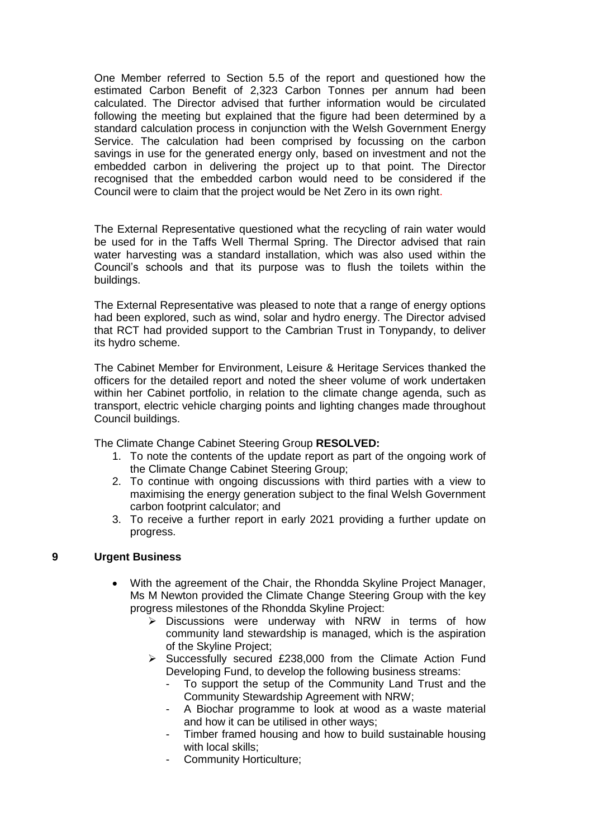One Member referred to Section 5.5 of the report and questioned how the estimated Carbon Benefit of 2,323 Carbon Tonnes per annum had been calculated. The Director advised that further information would be circulated following the meeting but explained that the figure had been determined by a standard calculation process in conjunction with the Welsh Government Energy Service. The calculation had been comprised by focussing on the carbon savings in use for the generated energy only, based on investment and not the embedded carbon in delivering the project up to that point. The Director recognised that the embedded carbon would need to be considered if the Council were to claim that the project would be Net Zero in its own right.

The External Representative questioned what the recycling of rain water would be used for in the Taffs Well Thermal Spring. The Director advised that rain water harvesting was a standard installation, which was also used within the Council's schools and that its purpose was to flush the toilets within the buildings.

The External Representative was pleased to note that a range of energy options had been explored, such as wind, solar and hydro energy. The Director advised that RCT had provided support to the Cambrian Trust in Tonypandy, to deliver its hydro scheme.

The Cabinet Member for Environment, Leisure & Heritage Services thanked the officers for the detailed report and noted the sheer volume of work undertaken within her Cabinet portfolio, in relation to the climate change agenda, such as transport, electric vehicle charging points and lighting changes made throughout Council buildings.

The Climate Change Cabinet Steering Group **RESOLVED:**

- 1. To note the contents of the update report as part of the ongoing work of the Climate Change Cabinet Steering Group;
- 2. To continue with ongoing discussions with third parties with a view to maximising the energy generation subject to the final Welsh Government carbon footprint calculator; and
- 3. To receive a further report in early 2021 providing a further update on progress.

## **9 Urgent Business**

- With the agreement of the Chair, the Rhondda Skyline Project Manager, Ms M Newton provided the Climate Change Steering Group with the key progress milestones of the Rhondda Skyline Project:
	- $\triangleright$  Discussions were underway with NRW in terms of how community land stewardship is managed, which is the aspiration of the Skyline Project;
	- $\triangleright$  Successfully secured £238,000 from the Climate Action Fund Developing Fund, to develop the following business streams:
		- To support the setup of the Community Land Trust and the Community Stewardship Agreement with NRW;
		- A Biochar programme to look at wood as a waste material and how it can be utilised in other ways;
		- Timber framed housing and how to build sustainable housing with local skills;
		- Community Horticulture;